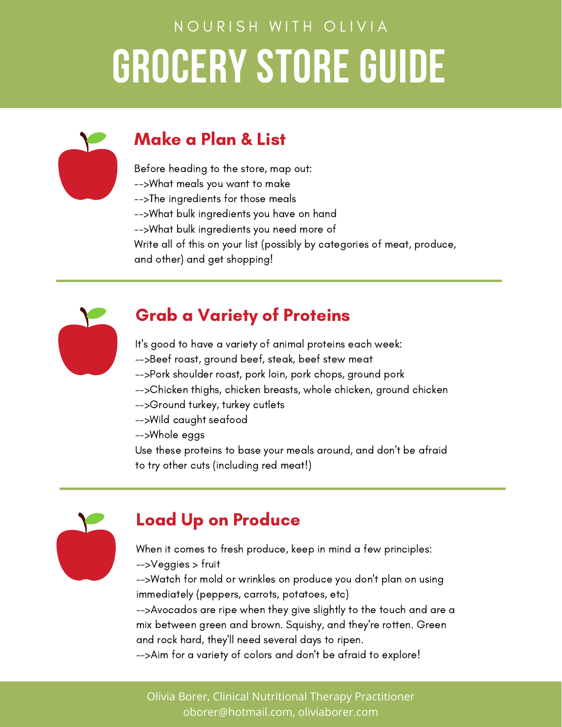

#### Make a Plan & List

Before heading to the store, map out:

- -->What meals you want to make
- -->The ingredients for those meals
- -->What bulk ingredients you have on hand
- -->What bulk ingredients you need more of
- Write all of this on your list (possibly by categories of meat, produce,
- and other) and get shopping!



### Grab a Variety of Proteins

It's good to have a variety of animal proteins each week:

- -->Beef roast, ground beef, steak, beef stew meat
- -->Pork shoulder roast, pork loin, pork chops, ground pork
- -->Chicken thighs, chicken breasts, whole chicken, ground chicken
- -->Ground turkey, turkey cutlets
- -->Wild caught seafood
- -->Whole eggs

Use these proteins to base your meals around, and don't be afraid to try other cuts (including red meat!)



### Load Up on Produce

When it comes to fresh produce, keep in mind a few principles: -->Veggies > fruit

-->Watch for mold or wrinkles on produce you don't plan on using immediately (peppers, carrots, potatoes, etc)

-->Avocados are ripe when they give slightly to the touch and are a mix between green and brown. Squishy, and they're rotten. Green and rock hard, they'll need several days to ripen.

-->Aim for a variety of colors and don't be afraid to explore!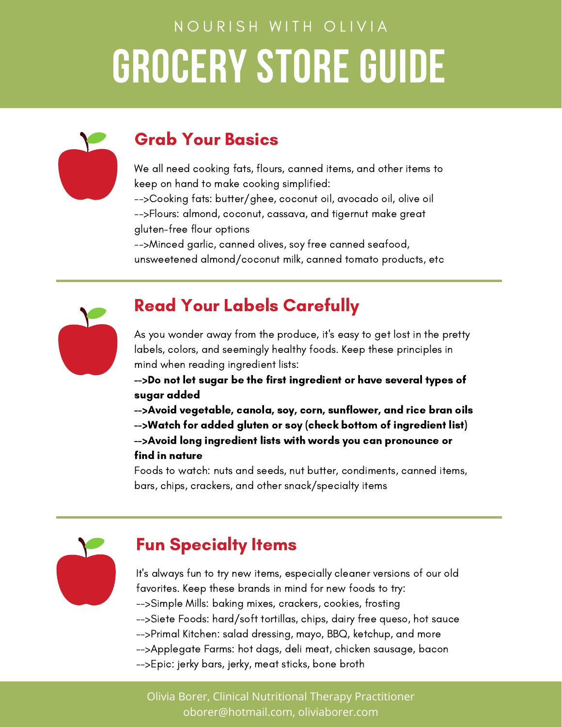

#### Grab Your Basics

We all need cooking fats, flours, canned items, and other items to keep on hand to make cooking simplified:

-->Cooking fats: butter/ghee, coconut oil, avocado oil, olive oil -->Flours: almond, coconut, cassava, and tigernut make great gluten-free flour options

-->Minced garlic, canned olives, soy free canned seafood, unsweetened almond/coconut milk, canned tomato products, etc



### Read Your Labels Carefully

As you wonder away from the produce, it's easy to get lost in the pretty labels, colors, and seemingly healthy foods. Keep these principles in mind when reading ingredient lists:

-->Do not let sugar be the first ingredient or have several types of sugar added

-->Avoid vegetable, canola, soy, corn, sunflower, and rice bran oils -->Watch for added gluten or soy (check bottom of ingredient list) -->Avoid long ingredient lists with words you can pronounce or find in nature

Foods to watch: nuts and seeds, nut butter, condiments, canned items, bars, chips, crackers, and other snack/specialty items



### Fun Specialty Items

It's always fun to try new items, especially cleaner versions of our old favorites. Keep these brands in mind for new foods to try: -->Simple Mills: baking mixes, crackers, cookies, frosting -->Siete Foods: hard/soft tortillas, chips, dairy free queso, hot sauce -->Primal Kitchen: salad dressing, mayo, BBQ, ketchup, and more -->Applegate Farms: hot dags, deli meat, chicken sausage, bacon -->Epic: jerky bars, jerky, meat sticks, bone broth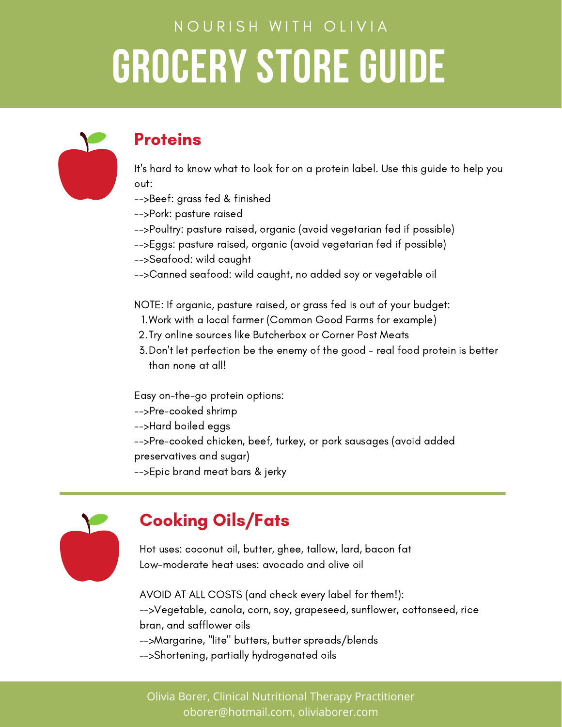

#### **Proteins**

It's hard to know what to look for on a protein label. Use this guide to help you out:

- -->Beef: grass fed & finished
- -->Pork: pasture raised
- -->Poultry: pasture raised, organic (avoid vegetarian fed if possible)
- -->Eggs: pasture raised, organic (avoid vegetarian fed if possible)
- -->Seafood: wild caught
- -->Canned seafood: wild caught, no added soy or vegetable oil

NOTE: If organic, pasture raised, or grass fed is out of your budget:

- Work with a local farmer (Common Good Farms for example) 1.
- 2. Try online sources like Butcherbox or Corner Post Meats
- Don't let perfection be the enemy of the good real food protein is better 3. than none at all!

Easy on-the-go protein options:

- -->Pre-cooked shrimp
- -->Hard boiled eggs

-->Pre-cooked chicken, beef, turkey, or pork sausages (avoid added preservatives and sugar)

-->Epic brand meat bars & jerky



### Cooking Oils/Fats

Hot uses: coconut oil, butter, ghee, tallow, lard, bacon fat Low-moderate heat uses: avocado and olive oil

AVOID AT ALL COSTS (and check every label for them!): -->Vegetable, canola, corn, soy, grapeseed, sunflower, cottonseed, rice bran, and safflower oils -->Margarine, "lite" butters, butter spreads/blends -->Shortening, partially hydrogenated oils